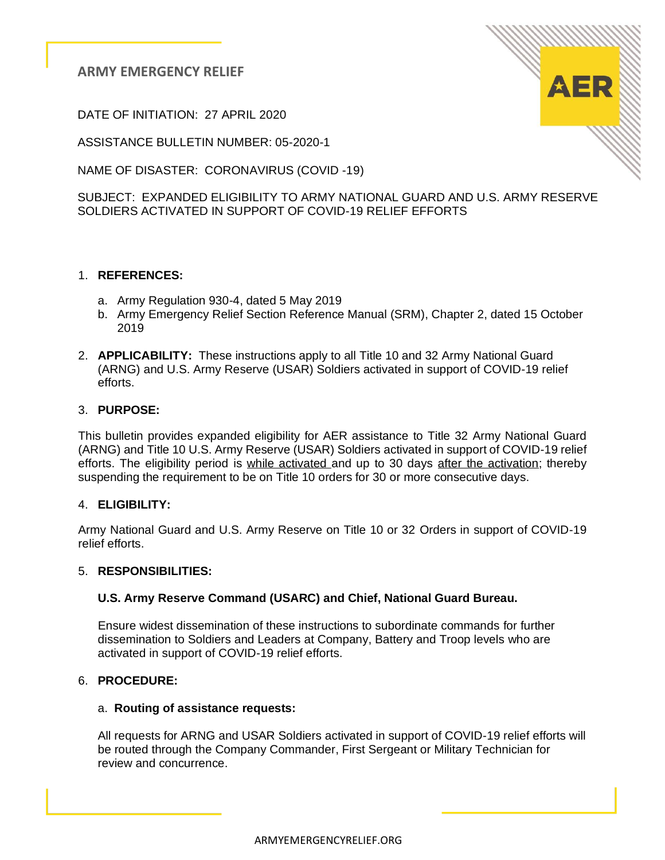DATE OF INITIATION: 27 APRIL 2020

ASSISTANCE BULLETIN NUMBER: 05-2020-1

NAME OF DISASTER: CORONAVIRUS (COVID -19)

SUBJECT: EXPANDED ELIGIBILITY TO ARMY NATIONAL GUARD AND U.S. ARMY RESERVE SOLDIERS ACTIVATED IN SUPPORT OF COVID-19 RELIEF EFFORTS

# 1. **REFERENCES:**

- a. Army Regulation 930-4, dated 5 May 2019
- b. Army Emergency Relief Section Reference Manual (SRM), Chapter 2, dated 15 October 2019
- 2. **APPLICABILITY:** These instructions apply to all Title 10 and 32 Army National Guard (ARNG) and U.S. Army Reserve (USAR) Soldiers activated in support of COVID-19 relief efforts.

### 3. **PURPOSE:**

This bulletin provides expanded eligibility for AER assistance to Title 32 Army National Guard (ARNG) and Title 10 U.S. Army Reserve (USAR) Soldiers activated in support of COVID-19 relief efforts. The eligibility period is while activated and up to 30 days after the activation; thereby suspending the requirement to be on Title 10 orders for 30 or more consecutive days.

### 4. **ELIGIBILITY:**

Army National Guard and U.S. Army Reserve on Title 10 or 32 Orders in support of COVID-19 relief efforts.

### 5. **RESPONSIBILITIES:**

### **U.S. Army Reserve Command (USARC) and Chief, National Guard Bureau.**

 Ensure widest dissemination of these instructions to subordinate commands for further dissemination to Soldiers and Leaders at Company, Battery and Troop levels who are activated in support of COVID-19 relief efforts.

### 6. **PROCEDURE:**

### a. **Routing of assistance requests:**

All requests for ARNG and USAR Soldiers activated in support of COVID-19 relief efforts will be routed through the Company Commander, First Sergeant or Military Technician for review and concurrence.

ARMYEMERGENCYRELIEF.ORG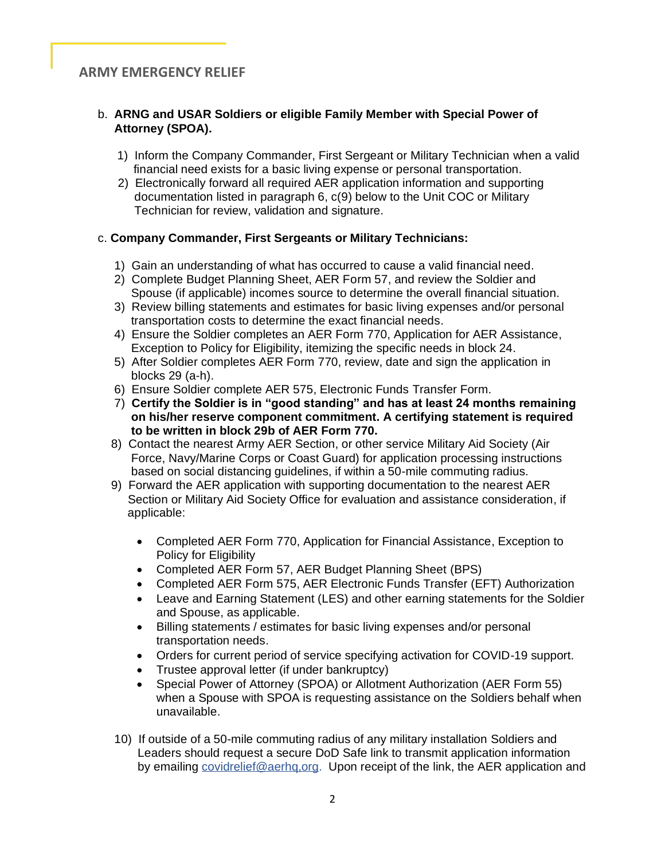### b. **ARNG and USAR Soldiers or eligible Family Member with Special Power of Attorney (SPOA).**

- 1) Inform the Company Commander, First Sergeant or Military Technician when a valid financial need exists for a basic living expense or personal transportation.
- 2) Electronically forward all required AER application information and supporting documentation listed in paragraph 6, c(9) below to the Unit COC or Military Technician for review, validation and signature.

### c. **Company Commander, First Sergeants or Military Technicians:**

- 1) Gain an understanding of what has occurred to cause a valid financial need.
- 2) Complete Budget Planning Sheet, AER Form 57, and review the Soldier and Spouse (if applicable) incomes source to determine the overall financial situation.
- 3) Review billing statements and estimates for basic living expenses and/or personal transportation costs to determine the exact financial needs.
- 4) Ensure the Soldier completes an AER Form 770, Application for AER Assistance, Exception to Policy for Eligibility, itemizing the specific needs in block 24.
- 5) After Soldier completes AER Form 770, review, date and sign the application in blocks 29 (a-h).
- 6) Ensure Soldier complete AER 575, Electronic Funds Transfer Form.
- 7) **Certify the Soldier is in "good standing" and has at least 24 months remaining on his/her reserve component commitment. A certifying statement is required to be written in block 29b of AER Form 770.**
- 8) Contact the nearest Army AER Section, or other service Military Aid Society (Air Force, Navy/Marine Corps or Coast Guard) for application processing instructions based on social distancing guidelines, if within a 50-mile commuting radius.
- 9) Forward the AER application with supporting documentation to the nearest AER Section or Military Aid Society Office for evaluation and assistance consideration, if applicable:
	- Completed AER Form 770, Application for Financial Assistance, Exception to Policy for Eligibility
	- Completed AER Form 57, AER Budget Planning Sheet (BPS)
	- Completed AER Form 575, AER Electronic Funds Transfer (EFT) Authorization
	- Leave and Earning Statement (LES) and other earning statements for the Soldier and Spouse, as applicable.
	- Billing statements / estimates for basic living expenses and/or personal transportation needs.
	- Orders for current period of service specifying activation for COVID-19 support.
	- Trustee approval letter (if under bankruptcy)
	- Special Power of Attorney (SPOA) or Allotment Authorization (AER Form 55) when a Spouse with SPOA is requesting assistance on the Soldiers behalf when unavailable.
- 10) If outside of a 50-mile commuting radius of any military installation Soldiers and Leaders should request a secure DoD Safe link to transmit application information by emailing covidrelief@aerhq,org. Upon receipt of the link, the AER application and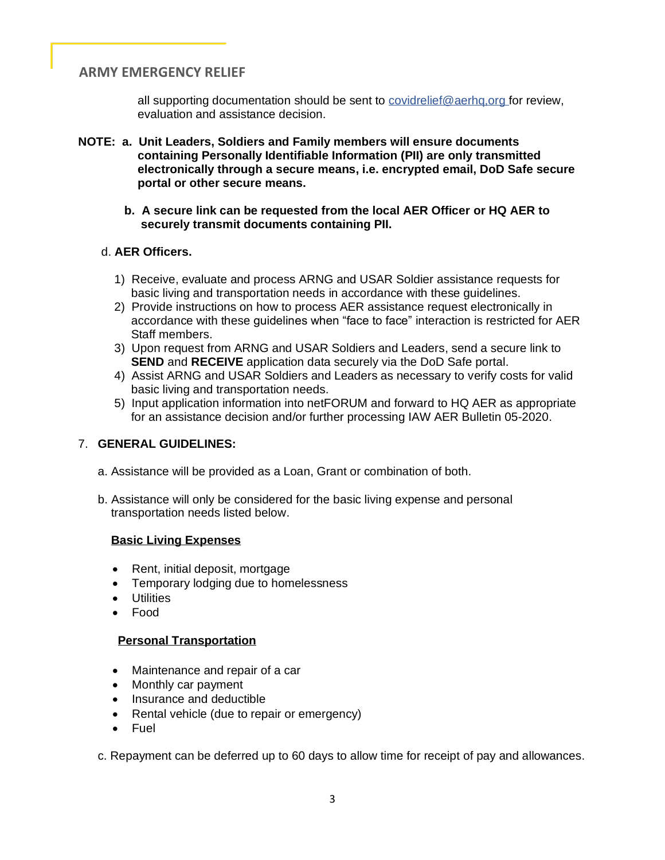all supporting documentation should be sent to covidrelief@aerhq,org for review, evaluation and assistance decision.

- **NOTE: a. Unit Leaders, Soldiers and Family members will ensure documents containing Personally Identifiable Information (PII) are only transmitted electronically through a secure means, i.e. encrypted email, DoD Safe secure portal or other secure means.**
	- **b. A secure link can be requested from the local AER Officer or HQ AER to securely transmit documents containing PII.**

### d. **AER Officers.**

- 1) Receive, evaluate and process ARNG and USAR Soldier assistance requests for basic living and transportation needs in accordance with these guidelines.
- 2) Provide instructions on how to process AER assistance request electronically in accordance with these guidelines when "face to face" interaction is restricted for AER Staff members.
- 3) Upon request from ARNG and USAR Soldiers and Leaders, send a secure link to **SEND** and **RECEIVE** application data securely via the DoD Safe portal.
- 4) Assist ARNG and USAR Soldiers and Leaders as necessary to verify costs for valid basic living and transportation needs.
- 5) Input application information into netFORUM and forward to HQ AER as appropriate for an assistance decision and/or further processing IAW AER Bulletin 05-2020.

### 7. **GENERAL GUIDELINES:**

- a. Assistance will be provided as a Loan, Grant or combination of both.
- b. Assistance will only be considered for the basic living expense and personal transportation needs listed below.

#### **Basic Living Expenses**

- Rent, initial deposit, mortgage
- Temporary lodging due to homelessness
- Utilities
- Food

#### **Personal Transportation**

- Maintenance and repair of a car
- Monthly car payment
- Insurance and deductible
- Rental vehicle (due to repair or emergency)
- **Fuel**

c. Repayment can be deferred up to 60 days to allow time for receipt of pay and allowances.